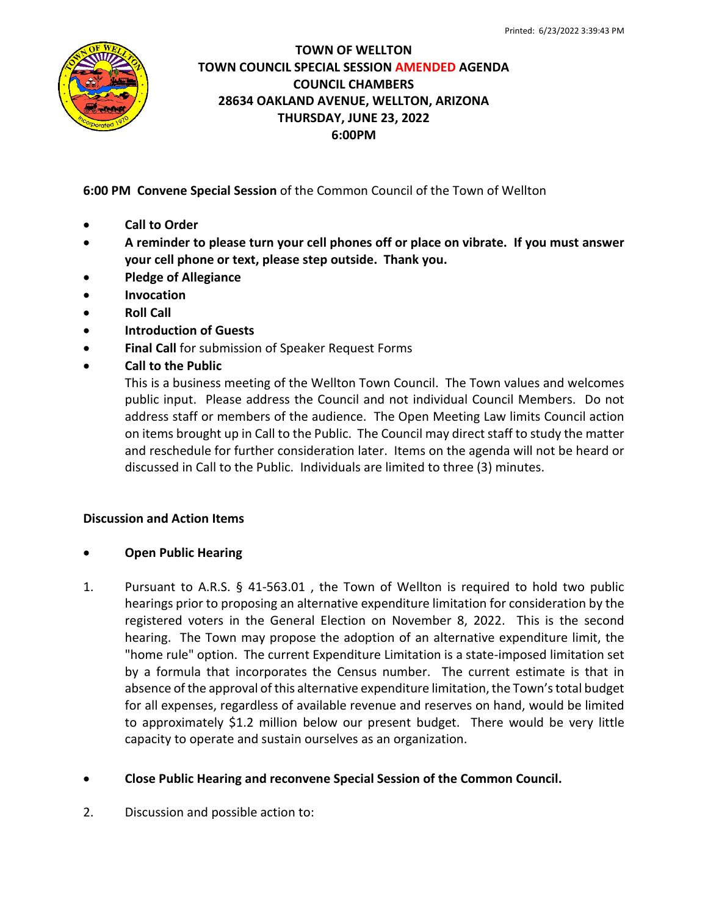

## **TOWN OF WELLTON TOWN COUNCIL SPECIAL SESSION AMENDED AGENDA COUNCIL CHAMBERS 28634 OAKLAND AVENUE, WELLTON, ARIZONA THURSDAY, JUNE 23, 2022 6:00PM**

**6:00 PM Convene Special Session** of the Common Council of the Town of Wellton

- **Call to Order**
- **A reminder to please turn your cell phones off or place on vibrate. If you must answer your cell phone or text, please step outside. Thank you.**
- **Pledge of Allegiance**
- **Invocation**
- **Roll Call**
- **Introduction of Guests**
- **Final Call** for submission of Speaker Request Forms
- **Call to the Public**

This is a business meeting of the Wellton Town Council. The Town values and welcomes public input. Please address the Council and not individual Council Members. Do not address staff or members of the audience. The Open Meeting Law limits Council action on items brought up in Call to the Public. The Council may direct staff to study the matter and reschedule for further consideration later. Items on the agenda will not be heard or discussed in Call to the Public. Individuals are limited to three (3) minutes.

## **Discussion and Action Items**

- **Open Public Hearing**
- 1. Pursuant to A.R.S. § 41-563.01 , the Town of Wellton is required to hold two public hearings prior to proposing an alternative expenditure limitation for consideration by the registered voters in the General Election on November 8, 2022. This is the second hearing. The Town may propose the adoption of an alternative expenditure limit, the "home rule" option. The current Expenditure Limitation is a state-imposed limitation set by a formula that incorporates the Census number. The current estimate is that in absence of the approval of this alternative expenditure limitation, the Town's total budget for all expenses, regardless of available revenue and reserves on hand, would be limited to approximately \$1.2 million below our present budget. There would be very little capacity to operate and sustain ourselves as an organization.

## • **Close Public Hearing and reconvene Special Session of the Common Council.**

2. Discussion and possible action to: